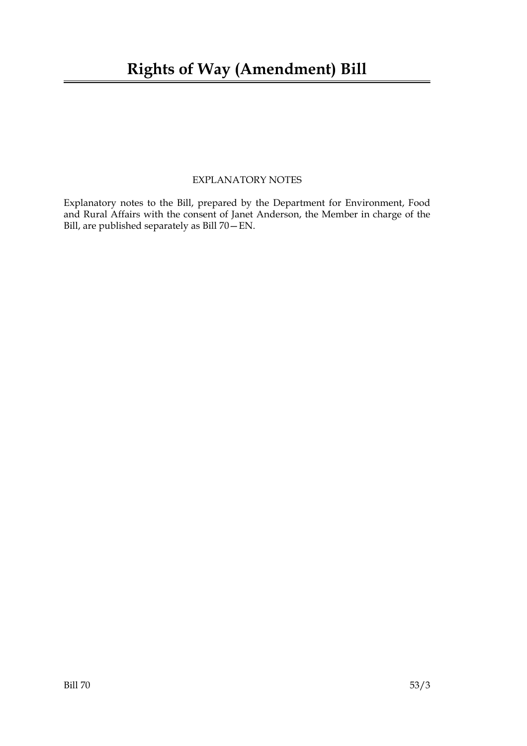### EXPLANATORY NOTES

Explanatory notes to the Bill, prepared by the Department for Environment, Food and Rural Affairs with the consent of Janet Anderson, the Member in charge of the Bill, are published separately as Bill 70—EN.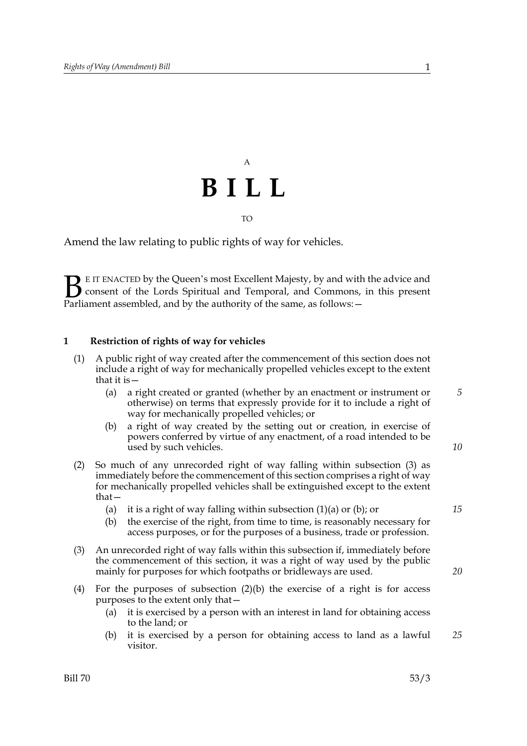# A **BILL**

TO

Amend the law relating to public rights of way for vehicles.

E IT ENACTED by the Queen's most Excellent Majesty, by and with the advice and consent of the Lords Spiritual and Temporal, and Commons, in this present **B** E IT ENACTED by the Queen's most Excellent Majesty, by and with consent of the Lords Spiritual and Temporal, and Commons, Parliament assembled, and by the authority of the same, as follows:  $-$ 

#### **1 Restriction of rights of way for vehicles**

- (1) A public right of way created after the commencement of this section does not include a right of way for mechanically propelled vehicles except to the extent that it is—
	- (a) a right created or granted (whether by an enactment or instrument or otherwise) on terms that expressly provide for it to include a right of way for mechanically propelled vehicles; or
	- (b) a right of way created by the setting out or creation, in exercise of powers conferred by virtue of any enactment, of a road intended to be used by such vehicles.
- (2) So much of any unrecorded right of way falling within subsection (3) as immediately before the commencement of this section comprises a right of way for mechanically propelled vehicles shall be extinguished except to the extent that—
	- (a) it is a right of way falling within subsection  $(1)(a)$  or  $(b)$ ; or
	- (b) the exercise of the right, from time to time, is reasonably necessary for access purposes, or for the purposes of a business, trade or profession.
- (3) An unrecorded right of way falls within this subsection if, immediately before the commencement of this section, it was a right of way used by the public mainly for purposes for which footpaths or bridleways are used.
- (4) For the purposes of subsection  $(2)(b)$  the exercise of a right is for access purposes to the extent only that—
	- (a) it is exercised by a person with an interest in land for obtaining access to the land; or
	- (b) it is exercised by a person for obtaining access to land as a lawful visitor. *25*

*15*

*20*

*10*

*5*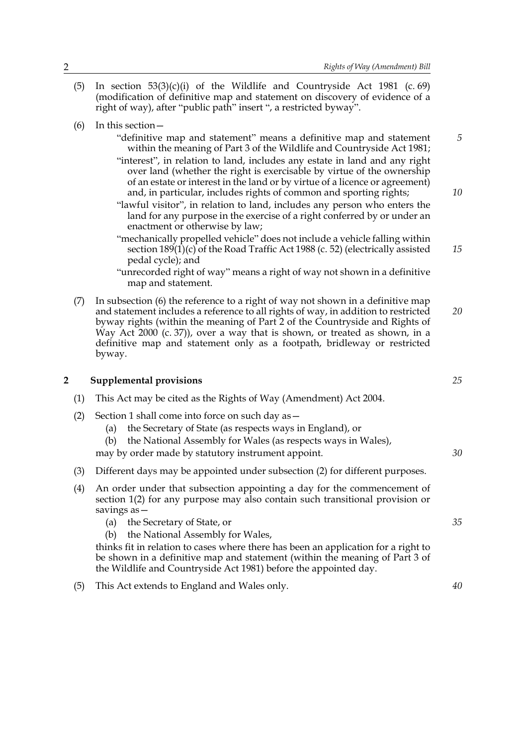- (5) In section  $53(3)(c)(i)$  of the Wildlife and Countryside Act 1981 (c. 69) (modification of definitive map and statement on discovery of evidence of a right of way), after "public path" insert ", a restricted byway".
- (6) In this section—
	- "definitive map and statement" means a definitive map and statement within the meaning of Part 3 of the Wildlife and Countryside Act 1981; "interest", in relation to land, includes any estate in land and any right *5*
	- over land (whether the right is exercisable by virtue of the ownership of an estate or interest in the land or by virtue of a licence or agreement) and, in particular, includes rights of common and sporting rights;
	- "lawful visitor", in relation to land, includes any person who enters the land for any purpose in the exercise of a right conferred by or under an enactment or otherwise by law;
	- "mechanically propelled vehicle" does not include a vehicle falling within section  $189(1)(c)$  of the Road Traffic Act 1988 (c. 52) (electrically assisted pedal cycle); and
	- "unrecorded right of way" means a right of way not shown in a definitive map and statement.
- (7) In subsection (6) the reference to a right of way not shown in a definitive map and statement includes a reference to all rights of way, in addition to restricted byway rights (within the meaning of Part 2 of the Countryside and Rights of Way Act 2000 (c. 37)), over a way that is shown, or treated as shown, in a definitive map and statement only as a footpath, bridleway or restricted byway. *20*

#### **2 Supplemental provisions**

- (1) This Act may be cited as the Rights of Way (Amendment) Act 2004.
- (2) Section 1 shall come into force on such day as—
	- (a) the Secretary of State (as respects ways in England), or
	- (b) the National Assembly for Wales (as respects ways in Wales),
	- may by order made by statutory instrument appoint.
- (3) Different days may be appointed under subsection (2) for different purposes.
- (4) An order under that subsection appointing a day for the commencement of section 1(2) for any purpose may also contain such transitional provision or savings as—
	- (a) the Secretary of State, or
	- (b) the National Assembly for Wales,

thinks fit in relation to cases where there has been an application for a right to be shown in a definitive map and statement (within the meaning of Part 3 of the Wildlife and Countryside Act 1981) before the appointed day.

(5) This Act extends to England and Wales only.

*25*

*10*

*15*

*30*

*40*

*35*